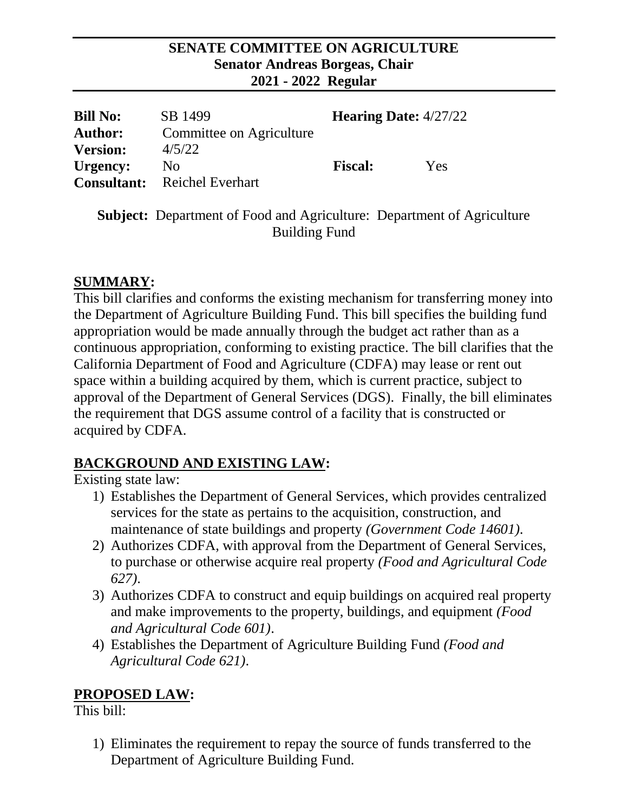#### **SENATE COMMITTEE ON AGRICULTURE Senator Andreas Borgeas, Chair 2021 - 2022 Regular**

| <b>Bill No:</b>    | SB 1499                  | <b>Hearing Date:</b> $4/27/22$ |     |
|--------------------|--------------------------|--------------------------------|-----|
| <b>Author:</b>     | Committee on Agriculture |                                |     |
| <b>Version:</b>    | 4/5/22                   |                                |     |
| Urgency:           | N <sub>0</sub>           | <b>Fiscal:</b>                 | Yes |
| <b>Consultant:</b> | Reichel Everhart         |                                |     |

**Subject:** Department of Food and Agriculture: Department of Agriculture Building Fund

### **SUMMARY:**

This bill clarifies and conforms the existing mechanism for transferring money into the Department of Agriculture Building Fund. This bill specifies the building fund appropriation would be made annually through the budget act rather than as a continuous appropriation, conforming to existing practice. The bill clarifies that the California Department of Food and Agriculture (CDFA) may lease or rent out space within a building acquired by them, which is current practice, subject to approval of the Department of General Services (DGS). Finally, the bill eliminates the requirement that DGS assume control of a facility that is constructed or acquired by CDFA.

# **BACKGROUND AND EXISTING LAW:**

Existing state law:

- 1) Establishes the Department of General Services, which provides centralized services for the state as pertains to the acquisition, construction, and maintenance of state buildings and property *(Government Code 14601).*
- 2) Authorizes CDFA, with approval from the Department of General Services, to purchase or otherwise acquire real property *(Food and Agricultural Code 627)*.
- 3) Authorizes CDFA to construct and equip buildings on acquired real property and make improvements to the property, buildings, and equipment *(Food and Agricultural Code 601)*.
- 4) Establishes the Department of Agriculture Building Fund *(Food and Agricultural Code 621)*.

# **PROPOSED LAW:**

This bill:

1) Eliminates the requirement to repay the source of funds transferred to the Department of Agriculture Building Fund.